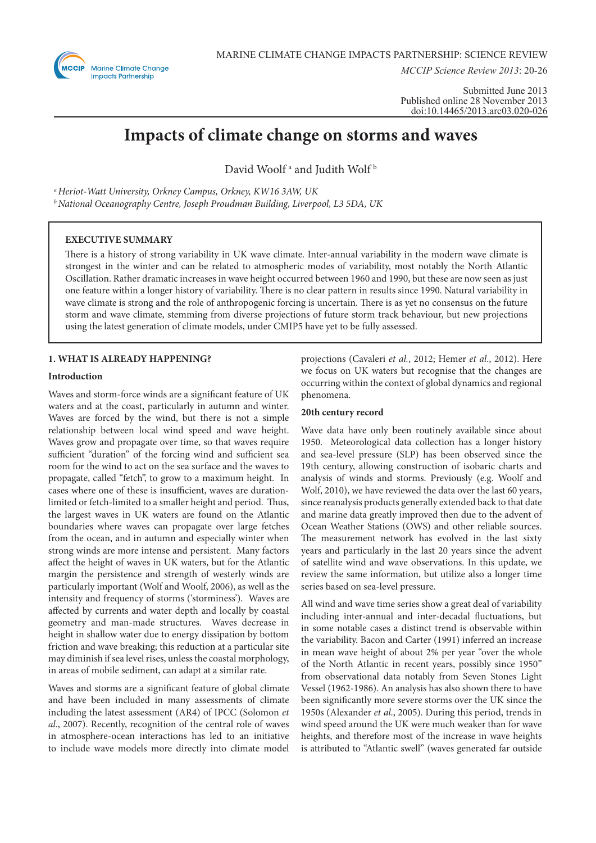

*MCCIP Science Review 2013*: 20-26

Submitted June 2013 Published online 28 November 2013 doi:10.14465/2013.arc03.020-026

# **Impacts of climate change on storms and waves**

David Woolf<sup>ª</sup> and Judith Wolf<sup>b</sup>

*a Heriot-Watt University, Orkney Campus, Orkney, KW16 3AW, UK*

*b National Oceanography Centre, Joseph Proudman Building, Liverpool, L3 5DA, UK*

# **EXECUTIVE SUMMARY**

There is a history of strong variability in UK wave climate. Inter-annual variability in the modern wave climate is strongest in the winter and can be related to atmospheric modes of variability, most notably the North Atlantic Oscillation. Rather dramatic increases in wave height occurred between 1960 and 1990, but these are now seen as just one feature within a longer history of variability. There is no clear pattern in results since 1990. Natural variability in wave climate is strong and the role of anthropogenic forcing is uncertain. There is as yet no consensus on the future storm and wave climate, stemming from diverse projections of future storm track behaviour, but new projections using the latest generation of climate models, under CMIP5 have yet to be fully assessed.

# **1. WHAT IS ALREADY HAPPENING?**

## **Introduction**

Waves and storm-force winds are a significant feature of UK waters and at the coast, particularly in autumn and winter. Waves are forced by the wind, but there is not a simple relationship between local wind speed and wave height. Waves grow and propagate over time, so that waves require sufficient "duration" of the forcing wind and sufficient sea room for the wind to act on the sea surface and the waves to propagate, called "fetch", to grow to a maximum height. In cases where one of these is insufficient, waves are durationlimited or fetch-limited to a smaller height and period. Thus, the largest waves in UK waters are found on the Atlantic boundaries where waves can propagate over large fetches from the ocean, and in autumn and especially winter when strong winds are more intense and persistent. Many factors affect the height of waves in UK waters, but for the Atlantic margin the persistence and strength of westerly winds are particularly important (Wolf and Woolf, 2006), as well as the intensity and frequency of storms ('storminess'). Waves are affected by currents and water depth and locally by coastal geometry and man-made structures. Waves decrease in height in shallow water due to energy dissipation by bottom friction and wave breaking; this reduction at a particular site may diminish if sea level rises, unless the coastal morphology, in areas of mobile sediment, can adapt at a similar rate.

Waves and storms are a significant feature of global climate and have been included in many assessments of climate including the latest assessment (AR4) of IPCC (Solomon *et al*., 2007). Recently, recognition of the central role of waves in atmosphere-ocean interactions has led to an initiative to include wave models more directly into climate model

projections (Cavaleri *et al.*, 2012; Hemer *et al*., 2012). Here we focus on UK waters but recognise that the changes are occurring within the context of global dynamics and regional phenomena.

## **20th century record**

Wave data have only been routinely available since about 1950. Meteorological data collection has a longer history and sea-level pressure (SLP) has been observed since the 19th century, allowing construction of isobaric charts and analysis of winds and storms. Previously (e.g. Woolf and Wolf, 2010), we have reviewed the data over the last 60 years, since reanalysis products generally extended back to that date and marine data greatly improved then due to the advent of Ocean Weather Stations (OWS) and other reliable sources. The measurement network has evolved in the last sixty years and particularly in the last 20 years since the advent of satellite wind and wave observations. In this update, we review the same information, but utilize also a longer time series based on sea-level pressure.

All wind and wave time series show a great deal of variability including inter-annual and inter-decadal fluctuations, but in some notable cases a distinct trend is observable within the variability. Bacon and Carter (1991) inferred an increase in mean wave height of about 2% per year "over the whole of the North Atlantic in recent years, possibly since 1950" from observational data notably from Seven Stones Light Vessel (1962-1986). An analysis has also shown there to have been significantly more severe storms over the UK since the 1950s (Alexander *et al*., 2005). During this period, trends in wind speed around the UK were much weaker than for wave heights, and therefore most of the increase in wave heights is attributed to "Atlantic swell" (waves generated far outside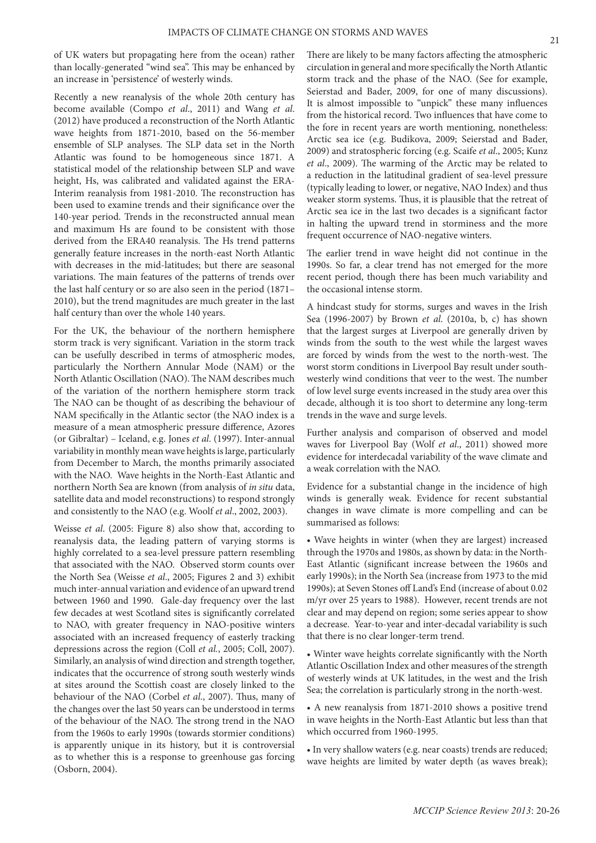of UK waters but propagating here from the ocean) rather than locally-generated "wind sea". This may be enhanced by an increase in 'persistence' of westerly winds.

Recently a new reanalysis of the whole 20th century has become available (Compo *et al*., 2011) and Wang *et al*. (2012) have produced a reconstruction of the North Atlantic wave heights from 1871-2010, based on the 56-member ensemble of SLP analyses. The SLP data set in the North Atlantic was found to be homogeneous since 1871. A statistical model of the relationship between SLP and wave height, Hs, was calibrated and validated against the ERA-Interim reanalysis from 1981-2010. The reconstruction has been used to examine trends and their significance over the 140-year period. Trends in the reconstructed annual mean and maximum Hs are found to be consistent with those derived from the ERA40 reanalysis. The Hs trend patterns generally feature increases in the north-east North Atlantic with decreases in the mid-latitudes; but there are seasonal variations. The main features of the patterns of trends over the last half century or so are also seen in the period (1871– 2010), but the trend magnitudes are much greater in the last half century than over the whole 140 years.

For the UK, the behaviour of the northern hemisphere storm track is very significant. Variation in the storm track can be usefully described in terms of atmospheric modes, particularly the Northern Annular Mode (NAM) or the North Atlantic Oscillation (NAO). The NAM describes much of the variation of the northern hemisphere storm track The NAO can be thought of as describing the behaviour of NAM specifically in the Atlantic sector (the NAO index is a measure of a mean atmospheric pressure difference, Azores (or Gibraltar) – Iceland, e.g. Jones *et al*. (1997). Inter-annual variability in monthly mean wave heights is large, particularly from December to March, the months primarily associated with the NAO. Wave heights in the North-East Atlantic and northern North Sea are known (from analysis of *in situ* data, satellite data and model reconstructions) to respond strongly and consistently to the NAO (e.g. Woolf *et al*., 2002, 2003).

Weisse *et al*. (2005: Figure 8) also show that, according to reanalysis data, the leading pattern of varying storms is highly correlated to a sea-level pressure pattern resembling that associated with the NAO. Observed storm counts over the North Sea (Weisse *et al*., 2005; Figures 2 and 3) exhibit much inter-annual variation and evidence of an upward trend between 1960 and 1990. Gale-day frequency over the last few decades at west Scotland sites is significantly correlated to NAO, with greater frequency in NAO-positive winters associated with an increased frequency of easterly tracking depressions across the region (Coll *et al.*, 2005; Coll, 2007). Similarly, an analysis of wind direction and strength together, indicates that the occurrence of strong south westerly winds at sites around the Scottish coast are closely linked to the behaviour of the NAO (Corbel *et al*., 2007). Thus, many of the changes over the last 50 years can be understood in terms of the behaviour of the NAO. The strong trend in the NAO from the 1960s to early 1990s (towards stormier conditions) is apparently unique in its history, but it is controversial as to whether this is a response to greenhouse gas forcing (Osborn, 2004).

There are likely to be many factors affecting the atmospheric circulation in general and more specifically the North Atlantic storm track and the phase of the NAO. (See for example, Seierstad and Bader, 2009, for one of many discussions). It is almost impossible to "unpick" these many influences from the historical record. Two influences that have come to the fore in recent years are worth mentioning, nonetheless: Arctic sea ice (e.g. Budikova, 2009; Seierstad and Bader, 2009) and stratospheric forcing (e.g. Scaife *et al*., 2005; Kunz *et al*., 2009). The warming of the Arctic may be related to a reduction in the latitudinal gradient of sea-level pressure (typically leading to lower, or negative, NAO Index) and thus weaker storm systems. Thus, it is plausible that the retreat of Arctic sea ice in the last two decades is a significant factor in halting the upward trend in storminess and the more frequent occurrence of NAO-negative winters.

The earlier trend in wave height did not continue in the 1990s. So far, a clear trend has not emerged for the more recent period, though there has been much variability and the occasional intense storm.

A hindcast study for storms, surges and waves in the Irish Sea (1996-2007) by Brown *et al*. (2010a, b, c) has shown that the largest surges at Liverpool are generally driven by winds from the south to the west while the largest waves are forced by winds from the west to the north-west. The worst storm conditions in Liverpool Bay result under southwesterly wind conditions that veer to the west. The number of low level surge events increased in the study area over this decade, although it is too short to determine any long-term trends in the wave and surge levels.

Further analysis and comparison of observed and model waves for Liverpool Bay (Wolf *et al*., 2011) showed more evidence for interdecadal variability of the wave climate and a weak correlation with the NAO.

Evidence for a substantial change in the incidence of high winds is generally weak. Evidence for recent substantial changes in wave climate is more compelling and can be summarised as follows:

• Wave heights in winter (when they are largest) increased through the 1970s and 1980s, as shown by data: in the North-East Atlantic (significant increase between the 1960s and early 1990s); in the North Sea (increase from 1973 to the mid 1990s); at Seven Stones off Land's End (increase of about 0.02 m/yr over 25 years to 1988). However, recent trends are not clear and may depend on region; some series appear to show a decrease. Year-to-year and inter-decadal variability is such that there is no clear longer-term trend.

• Winter wave heights correlate significantly with the North Atlantic Oscillation Index and other measures of the strength of westerly winds at UK latitudes, in the west and the Irish Sea; the correlation is particularly strong in the north-west.

• A new reanalysis from 1871-2010 shows a positive trend in wave heights in the North-East Atlantic but less than that which occurred from 1960-1995.

• In very shallow waters (e.g. near coasts) trends are reduced; wave heights are limited by water depth (as waves break);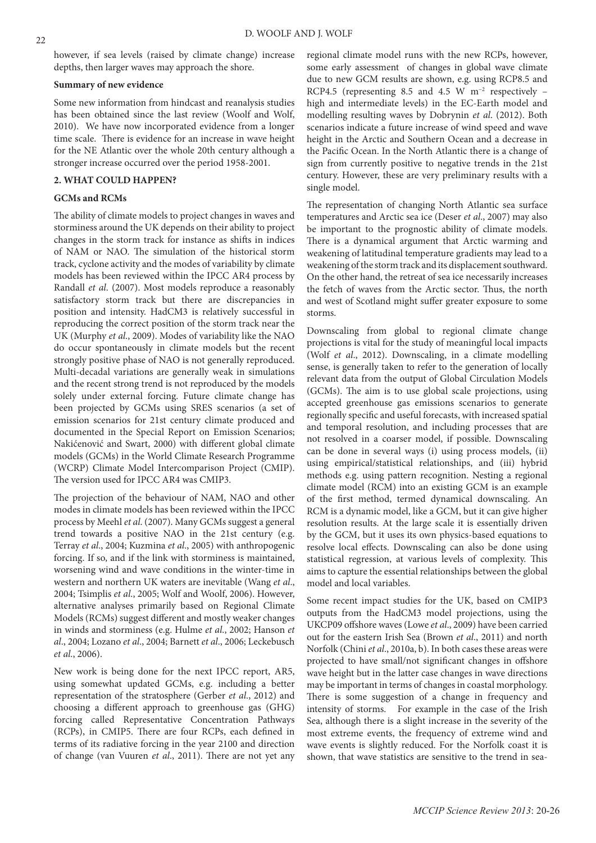however, if sea levels (raised by climate change) increase depths, then larger waves may approach the shore.

## **Summary of new evidence**

Some new information from hindcast and reanalysis studies has been obtained since the last review (Woolf and Wolf, 2010). We have now incorporated evidence from a longer time scale. There is evidence for an increase in wave height for the NE Atlantic over the whole 20th century although a stronger increase occurred over the period 1958-2001.

## **2. WHAT COULD HAPPEN?**

## **GCMs and RCMs**

The ability of climate models to project changes in waves and storminess around the UK depends on their ability to project changes in the storm track for instance as shifts in indices of NAM or NAO. The simulation of the historical storm track, cyclone activity and the modes of variability by climate models has been reviewed within the IPCC AR4 process by Randall *et al*. (2007). Most models reproduce a reasonably satisfactory storm track but there are discrepancies in position and intensity. HadCM3 is relatively successful in reproducing the correct position of the storm track near the UK (Murphy *et al*., 2009). Modes of variability like the NAO do occur spontaneously in climate models but the recent strongly positive phase of NAO is not generally reproduced. Multi-decadal variations are generally weak in simulations and the recent strong trend is not reproduced by the models solely under external forcing. Future climate change has been projected by GCMs using SRES scenarios (a set of emission scenarios for 21st century climate produced and documented in the Special Report on Emission Scenarios; Nakićenović and Swart, 2000) with different global climate models (GCMs) in the World Climate Research Programme (WCRP) Climate Model Intercomparison Project (CMIP). The version used for IPCC AR4 was CMIP3.

The projection of the behaviour of NAM, NAO and other modes in climate models has been reviewed within the IPCC process by Meehl *et al*. (2007). Many GCMs suggest a general trend towards a positive NAO in the 21st century (e.g. Terray *et al*., 2004; Kuzmina *et al*., 2005) with anthropogenic forcing. If so, and if the link with storminess is maintained, worsening wind and wave conditions in the winter-time in western and northern UK waters are inevitable (Wang *et al*., 2004; Tsimplis *et al*., 2005; Wolf and Woolf, 2006). However, alternative analyses primarily based on Regional Climate Models (RCMs) suggest different and mostly weaker changes in winds and storminess (e.g. Hulme *et al*., 2002; Hanson *et al*., 2004; Lozano *et al*., 2004; Barnett *et al*., 2006; Leckebusch *et al*., 2006).

New work is being done for the next IPCC report, AR5, using somewhat updated GCMs, e.g. including a better representation of the stratosphere (Gerber *et al*., 2012) and choosing a different approach to greenhouse gas (GHG) forcing called Representative Concentration Pathways (RCPs), in CMIP5. There are four RCPs, each defined in terms of its radiative forcing in the year 2100 and direction of change (van Vuuren *et al*., 2011). There are not yet any

regional climate model runs with the new RCPs, however, some early assessment of changes in global wave climate due to new GCM results are shown, e.g. using RCP8.5 and RCP4.5 (representing 8.5 and 4.5 W m−2 respectively – high and intermediate levels) in the EC-Earth model and modelling resulting waves by Dobrynin *et al*. (2012). Both scenarios indicate a future increase of wind speed and wave height in the Arctic and Southern Ocean and a decrease in the Pacific Ocean. In the North Atlantic there is a change of sign from currently positive to negative trends in the 21st century. However, these are very preliminary results with a single model.

The representation of changing North Atlantic sea surface temperatures and Arctic sea ice (Deser *et al*., 2007) may also be important to the prognostic ability of climate models. There is a dynamical argument that Arctic warming and weakening of latitudinal temperature gradients may lead to a weakening of the storm track and its displacement southward. On the other hand, the retreat of sea ice necessarily increases the fetch of waves from the Arctic sector. Thus, the north and west of Scotland might suffer greater exposure to some storms.

Downscaling from global to regional climate change projections is vital for the study of meaningful local impacts (Wolf *et al*., 2012). Downscaling, in a climate modelling sense, is generally taken to refer to the generation of locally relevant data from the output of Global Circulation Models (GCMs). The aim is to use global scale projections, using accepted greenhouse gas emissions scenarios to generate regionally specific and useful forecasts, with increased spatial and temporal resolution, and including processes that are not resolved in a coarser model, if possible. Downscaling can be done in several ways (i) using process models, (ii) using empirical/statistical relationships, and (iii) hybrid methods e.g. using pattern recognition. Nesting a regional climate model (RCM) into an existing GCM is an example of the first method, termed dynamical downscaling. An RCM is a dynamic model, like a GCM, but it can give higher resolution results. At the large scale it is essentially driven by the GCM, but it uses its own physics-based equations to resolve local effects. Downscaling can also be done using statistical regression, at various levels of complexity. This aims to capture the essential relationships between the global model and local variables.

Some recent impact studies for the UK, based on CMIP3 outputs from the HadCM3 model projections, using the UKCP09 offshore waves (Lowe *et al*., 2009) have been carried out for the eastern Irish Sea (Brown *et al*., 2011) and north Norfolk (Chini *et al*., 2010a, b). In both cases these areas were projected to have small/not significant changes in offshore wave height but in the latter case changes in wave directions may be important in terms of changes in coastal morphology. There is some suggestion of a change in frequency and intensity of storms. For example in the case of the Irish Sea, although there is a slight increase in the severity of the most extreme events, the frequency of extreme wind and wave events is slightly reduced. For the Norfolk coast it is shown, that wave statistics are sensitive to the trend in sea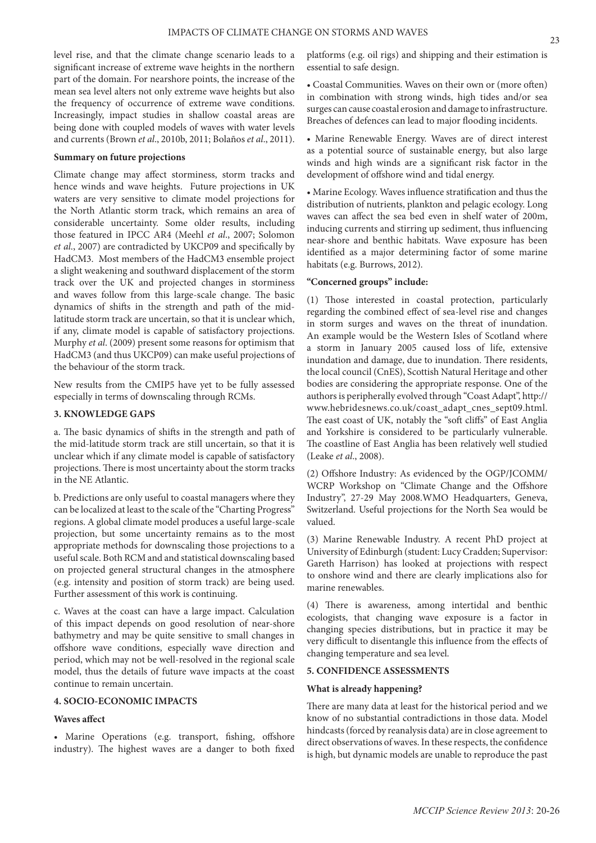level rise, and that the climate change scenario leads to a significant increase of extreme wave heights in the northern part of the domain. For nearshore points, the increase of the mean sea level alters not only extreme wave heights but also the frequency of occurrence of extreme wave conditions. Increasingly, impact studies in shallow coastal areas are being done with coupled models of waves with water levels and currents (Brown *et al*., 2010b, 2011; Bolaños *et al*., 2011).

#### **Summary on future projections**

Climate change may affect storminess, storm tracks and hence winds and wave heights. Future projections in UK waters are very sensitive to climate model projections for the North Atlantic storm track, which remains an area of considerable uncertainty. Some older results, including those featured in IPCC AR4 (Meehl *et al*., 2007; Solomon *et al*., 2007) are contradicted by UKCP09 and specifically by HadCM3. Most members of the HadCM3 ensemble project a slight weakening and southward displacement of the storm track over the UK and projected changes in storminess and waves follow from this large-scale change. The basic dynamics of shifts in the strength and path of the midlatitude storm track are uncertain, so that it is unclear which, if any, climate model is capable of satisfactory projections. Murphy *et al*. (2009) present some reasons for optimism that HadCM3 (and thus UKCP09) can make useful projections of the behaviour of the storm track.

New results from the CMIP5 have yet to be fully assessed especially in terms of downscaling through RCMs.

## **3. KNOWLEDGE GAPS**

a. The basic dynamics of shifts in the strength and path of the mid-latitude storm track are still uncertain, so that it is unclear which if any climate model is capable of satisfactory projections. There is most uncertainty about the storm tracks in the NE Atlantic.

b. Predictions are only useful to coastal managers where they can be localized at least to the scale of the "Charting Progress" regions. A global climate model produces a useful large-scale projection, but some uncertainty remains as to the most appropriate methods for downscaling those projections to a useful scale. Both RCM and and statistical downscaling based on projected general structural changes in the atmosphere (e.g. intensity and position of storm track) are being used. Further assessment of this work is continuing.

c. Waves at the coast can have a large impact. Calculation of this impact depends on good resolution of near-shore bathymetry and may be quite sensitive to small changes in offshore wave conditions, especially wave direction and period, which may not be well-resolved in the regional scale model, thus the details of future wave impacts at the coast continue to remain uncertain.

#### **4. SOCIO-ECONOMIC IMPACTS**

#### **Waves affect**

• Marine Operations (e.g. transport, fishing, offshore industry). The highest waves are a danger to both fixed

platforms (e.g. oil rigs) and shipping and their estimation is essential to safe design.

• Coastal Communities. Waves on their own or (more often) in combination with strong winds, high tides and/or sea surges can cause coastal erosion and damage to infrastructure. Breaches of defences can lead to major flooding incidents.

• Marine Renewable Energy. Waves are of direct interest as a potential source of sustainable energy, but also large winds and high winds are a significant risk factor in the development of offshore wind and tidal energy.

• Marine Ecology. Waves influence stratification and thus the distribution of nutrients, plankton and pelagic ecology. Long waves can affect the sea bed even in shelf water of 200m, inducing currents and stirring up sediment, thus influencing near-shore and benthic habitats. Wave exposure has been identified as a major determining factor of some marine habitats (e.g. Burrows, 2012).

#### **"Concerned groups" include:**

(1) Those interested in coastal protection, particularly regarding the combined effect of sea-level rise and changes in storm surges and waves on the threat of inundation. An example would be the Western Isles of Scotland where a storm in January 2005 caused loss of life, extensive inundation and damage, due to inundation. There residents, the local council (CnES), Scottish Natural Heritage and other bodies are considering the appropriate response. One of the authors is peripherally evolved through "Coast Adapt", http:// www.hebridesnews.co.uk/coast\_adapt\_cnes\_sept09.html. The east coast of UK, notably the "soft cliffs" of East Anglia and Yorkshire is considered to be particularly vulnerable. The coastline of East Anglia has been relatively well studied (Leake *et al*., 2008).

(2) Offshore Industry: As evidenced by the OGP/JCOMM/ WCRP Workshop on "Climate Change and the Offshore Industry", 27-29 May 2008.WMO Headquarters, Geneva, Switzerland. Useful projections for the North Sea would be valued.

(3) Marine Renewable Industry. A recent PhD project at University of Edinburgh (student: Lucy Cradden; Supervisor: Gareth Harrison) has looked at projections with respect to onshore wind and there are clearly implications also for marine renewables.

(4) There is awareness, among intertidal and benthic ecologists, that changing wave exposure is a factor in changing species distributions, but in practice it may be very difficult to disentangle this influence from the effects of changing temperature and sea level.

#### **5. CONFIDENCE ASSESSMENTS**

#### **What is already happening?**

There are many data at least for the historical period and we know of no substantial contradictions in those data. Model hindcasts (forced by reanalysis data) are in close agreement to direct observations of waves. In these respects, the confidence is high, but dynamic models are unable to reproduce the past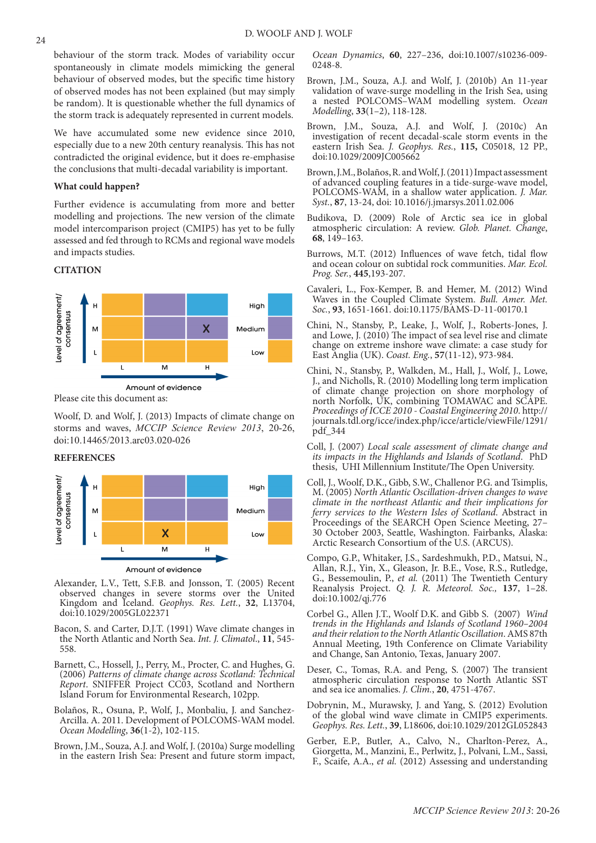behaviour of the storm track. Modes of variability occur spontaneously in climate models mimicking the general behaviour of observed modes, but the specific time history of observed modes has not been explained (but may simply be random). It is questionable whether the full dynamics of the storm track is adequately represented in current models.

We have accumulated some new evidence since 2010, especially due to a new 20th century reanalysis. This has not contradicted the original evidence, but it does re-emphasise the conclusions that multi-decadal variability is important.

#### **What could happen?**

Further evidence is accumulating from more and better modelling and projections. The new version of the climate model intercomparison project (CMIP5) has yet to be fully assessed and fed through to RCMs and regional wave models and impacts studies.

## **CITATION**



Please cite this document as:

Woolf, D. and Wolf, J. (2013) Impacts of climate change on storms and waves, *MCCIP Science Review 2013*, 20-26, doi:10.14465/2013.arc03.020-026

**REFERENCES**



- Alexander, L.V., Tett, S.F.B. and Jonsson, T. (2005) Recent observed changes in severe storms over the United Kingdom and Iceland. *Geophys. Res. Lett.*, **32**, L13704, doi:10.1029/2005GL022371
- Bacon, S. and Carter, D.J.T. (1991) Wave climate changes in the North Atlantic and North Sea. *Int. J. Climatol*., **11**, 545- 558.
- Barnett, C., Hossell, J., Perry, M., Procter, C. and Hughes, G. (2006) *Patterns of climate change across Scotland: Technical Report*. SNIFFER Project CC03, Scotland and Northern Island Forum for Environmental Research, 102pp.
- Bolaños, R., Osuna, P., Wolf, J., Monbaliu, J. and Sanchez-Arcilla. A. 2011. Development of POLCOMS-WAM model. *Ocean Modelling*, **36**(1-2), 102-115.
- Brown, J.M., Souza, A.J. and Wolf, J. (2010a) Surge modelling in the eastern Irish Sea: Present and future storm impact,

*Ocean Dynamics*, **60**, 227–236, doi:10.1007/s10236-009- 0248-8.

- Brown, J.M., Souza, A.J. and Wolf, J. (2010b) An 11-year validation of wave-surge modelling in the Irish Sea, using a nested POLCOMS–WAM modelling system. *Ocean Modelling*, **33**(1–2), 118-128.
- Brown, J.M., Souza, A.J. and Wolf, J. (2010c) An investigation of recent decadal-scale storm events in the eastern Irish Sea. *J. Geophys. Res.*, **115,** C05018, 12 PP., doi:10.1029/2009JC005662
- Brown, J.M., Bolaños, R. and Wolf, J. (2011) Impact assessment of advanced coupling features in a tide-surge-wave model, POLCOMS-WAM, in a shallow water application. *J. Mar. Syst.*, **87**, 13-24, doi: 10.1016/j.jmarsys.2011.02.006
- Budikova, D. (2009) Role of Arctic sea ice in global atmospheric circulation: A review. *Glob. Planet. Change*, **68**, 149–163.
- Burrows, M.T. (2012) Influences of wave fetch, tidal flow and ocean colour on subtidal rock communities. *Mar. Ecol. Prog. Ser.*, **445**,193-207.
- Cavaleri, L., Fox-Kemper, B. and Hemer, M. (2012) Wind Waves in the Coupled Climate System. *Bull. Amer. Met. Soc.*, **93**, 1651-1661. doi:10.1175/BAMS-D-11-00170.1
- Chini, N., Stansby, P., Leake, J., Wolf, J., Roberts-Jones, J. and Lowe, J. (2010) The impact of sea level rise and climate change on extreme inshore wave climate: a case study for East Anglia (UK). *Coast. Eng.*, **57**(11-12), 973-984.
- Chini, N., Stansby, P., Walkden, M., Hall, J., Wolf, J., Lowe, J., and Nicholls, R. (2010) Modelling long term implication of climate change projection on shore morphology of north Norfolk, UK, combining TOMAWAC and SCAPE. *Proceedings of ICCE 2010 - Coastal Engineering 2010*. http:// journals.tdl.org/icce/index.php/icce/article/viewFile/1291/ pdf\_344
- Coll, J. (2007) *Local scale assessment of climate change and its impacts in the Highlands and Islands of Scotland*. PhD thesis, UHI Millennium Institute/The Open University.
- Coll, J., Woolf, D.K., Gibb, S.W., Challenor P.G. and Tsimplis, M. (2005) *North Atlantic Oscillation-driven changes to wave climate in the northeast Atlantic and their implications for ferry services to the Western Isles of Scotland*. Abstract in Proceedings of the SEARCH Open Science Meeting, 27– 30 October 2003, Seattle, Washington. Fairbanks, Alaska: Arctic Research Consortium of the U.S. (ARCUS).
- Compo, G.P., Whitaker, J.S., Sardeshmukh, P.D., Matsui, N., Allan, R.J., Yin, X., Gleason, Jr. B.E., Vose, R.S., Rutledge, G., Bessemoulin, P., *et al.* (2011) The Twentieth Century Reanalysis Project. *Q. J. R. Meteorol. Soc.,* **137**, 1–28. doi:10.1002/qj.776
- Corbel G., Allen J.T., Woolf D.K. and Gibb S. (2007) *Wind trends in the Highlands and Islands of Scotland 1960–2004 and their relation to the North Atlantic Oscillation*. AMS 87th Annual Meeting, 19th Conference on Climate Variability and Change, San Antonio, Texas, January 2007.
- Deser, C., Tomas, R.A. and Peng, S. (2007) The transient atmospheric circulation response to North Atlantic SST and sea ice anomalies. *J. Clim.*, **20**, 4751-4767.
- Dobrynin, M., Murawsky, J. and Yang, S. (2012) Evolution of the global wind wave climate in CMIP5 experiments. *Geophys. Res. Lett.*, **39**, L18606, doi:10.1029/2012GL052843
- Gerber, E.P., Butler, A., Calvo, N., Charlton-Perez, A., Giorgetta, M., Manzini, E., Perlwitz, J., Polvani, L.M., Sassi, F., Scaife, A.A., *et al.* (2012) Assessing and understanding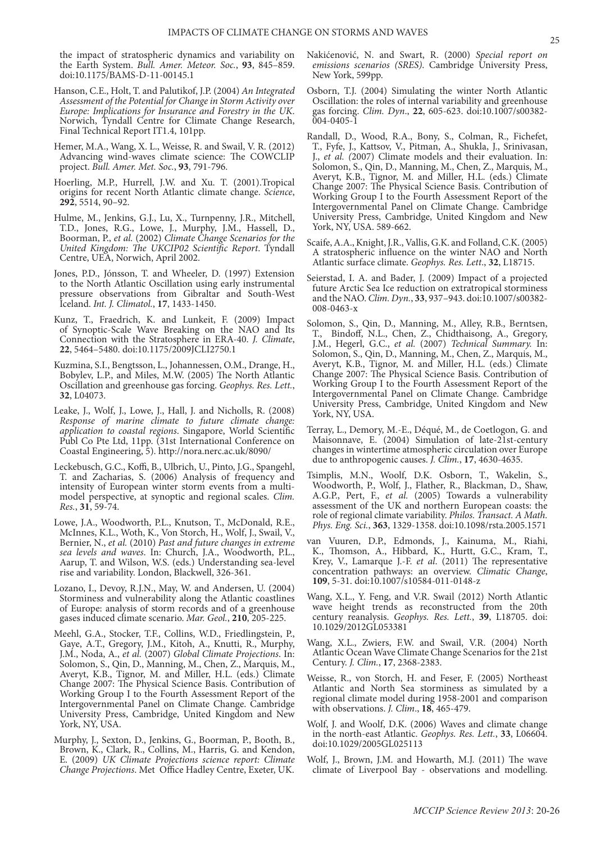the impact of stratospheric dynamics and variability on the Earth System. *Bull. Amer. Meteor. Soc.*, **93**, 845–859. doi:10.1175/BAMS-D-11-00145.1

- Hanson, C.E., Holt, T. and Palutikof, J.P. (2004) *An Integrated Assessment of the Potential for Change in Storm Activity over Europe: Implications for Insurance and Forestry in the UK*. Norwich, Tyndall Centre for Climate Change Research, Final Technical Report IT1.4, 101pp.
- Hemer, M.A., Wang, X. L., Weisse, R. and Swail, V. R. (2012) Advancing wind-waves climate science: The COWCLIP project. *Bull. Amer. Met. Soc.*, **93**, 791-796.
- Hoerling, M.P., Hurrell, J.W. and Xu. T. (2001).Tropical origins for recent North Atlantic climate change. *Science*, **292**, 5514, 90–92.
- Hulme, M., Jenkins, G.J., Lu, X., Turnpenny, J.R., Mitchell, T.D., Jones, R.G., Lowe, J., Murphy, J.M., Hassell, D., Boorman, P., *et al.* (2002) *Climate Change Scenarios for the United Kingdom: The UKCIP02 Scientific Report*. Tyndall Centre, UEA, Norwich, April 2002.
- Jones, P.D., Jónsson, T. and Wheeler, D. (1997) Extension to the North Atlantic Oscillation using early instrumental pressure observations from Gibraltar and South-West Iceland. *Int. J. Climatol.*, **17**, 1433-1450.
- Kunz, T., Fraedrich, K. and Lunkeit, F. (2009) Impact of Synoptic-Scale Wave Breaking on the NAO and Its Connection with the Stratosphere in ERA-40. *J. Climate*, **22**, 5464–5480. doi:10.1175/2009JCLI2750.1
- Kuzmina, S.I., Bengtsson, L., Johannessen, O.M., Drange, H., Bobylev, L.P., and Miles, M.W. (2005) The North Atlantic Oscillation and greenhouse gas forcing. *Geophys. Res. Lett.*, **32**, L04073.
- Leake, J., Wolf, J., Lowe, J., Hall, J. and Nicholls, R. (2008) *Response of marine climate to future climate change: application to coastal regions*. Singapore, World Scientific Publ Co Pte Ltd, 11pp. (31st International Conference on Coastal Engineering, 5). http://nora.nerc.ac.uk/8090/
- Leckebusch, G.C., Koffi, B., Ulbrich, U., Pinto, J.G., Spangehl, T. and Zacharias, S. (2006) Analysis of frequency and intensity of European winter storm events from a multimodel perspective, at synoptic and regional scales. *Clim. Res.*, **31**, 59-74.
- Lowe, J.A., Woodworth, P.L., Knutson, T., McDonald, R.E., McInnes, K.L., Woth, K., Von Storch, H., Wolf, J., Swail, V., Bernier, N., *et al.* (2010) *Past and future changes in extreme sea levels and waves*. In: Church, J.A., Woodworth, P.L., Aarup, T. and Wilson, W.S. (eds.) Understanding sea-level rise and variability. London, Blackwell, 326-361.
- Lozano, I., Devoy, R.J.N., May, W. and Andersen, U. (2004) Storminess and vulnerability along the Atlantic coastlines of Europe: analysis of storm records and of a greenhouse gases induced climate scenario. *Mar. Geol.*, **210**, 205-225.
- Meehl, G.A., Stocker, T.F., Collins, W.D., Friedlingstein, P., Gaye, A.T., Gregory, J.M., Kitoh, A., Knutti, R., Murphy, J.M., Noda, A., *et al.* (2007) *Global Climate Projections*. In: Solomon, S., Qin, D., Manning, M., Chen, Z., Marquis, M., Averyt, K.B., Tignor, M. and Miller, H.L. (eds.) Climate Change 2007: The Physical Science Basis. Contribution of Working Group I to the Fourth Assessment Report of the Intergovernmental Panel on Climate Change. Cambridge University Press, Cambridge, United Kingdom and New York, NY, USA.
- Murphy, J., Sexton, D., Jenkins, G., Boorman, P., Booth, B., Brown, K., Clark, R., Collins, M., Harris, G. and Kendon, E. (2009) *UK Climate Projections science report: Climate Change Projections*. Met Office Hadley Centre, Exeter, UK.
- Nakićenović, N. and Swart, R. (2000) *Special report on*  emissions scenarios (SRES). Cambridge University Press, New York, 599pp.
- Osborn, T.J. (2004) Simulating the winter North Atlantic Oscillation: the roles of internal variability and greenhouse gas forcing. *Clim. Dyn*., **22**, 605-623. doi:10.1007/s00382- 004-0405-1
- Randall, D., Wood, R.A., Bony, S., Colman, R., Fichefet, T., Fyfe, J., Kattsov, V., Pitman, A., Shukla, J., Srinivasan, J., *et al. (*2007) Climate models and their evaluation. In: Solomon, S., Qin, D., Manning, M., Chen, Z., Marquis, M., Averyt, K.B., Tignor, M. and Miller, H.L. (eds.) Climate Change 2007: The Physical Science Basis. Contribution of Working Group I to the Fourth Assessment Report of the Intergovernmental Panel on Climate Change. Cambridge University Press, Cambridge, United Kingdom and New York, NY, USA. 589-662.
- Scaife, A.A., Knight, J.R., Vallis, G.K. and Folland, C.K. (2005) A stratospheric influence on the winter NAO and North Atlantic surface climate. *Geophys. Res. Lett*., **32**, L18715.
- Seierstad, I. A. and Bader, J. (2009) Impact of a projected future Arctic Sea Ice reduction on extratropical storminess and the NAO. *Clim. Dyn.*, **33**, 937–943. doi:10.1007/s00382- 008-0463-x
- Solomon, S., Qin, D., Manning, M., Alley, R.B., Berntsen, T., Bindoff, N.L., Chen, Z., Chidthaisong, A., Gregory, J.M., Hegerl, G.C., *et al.* (2007) *Technical Summary.* In: Solomon, S., Qin, D., Manning, M., Chen, Z., Marquis, M., Averyt, K.B., Tignor, M. and Miller, H.L. (eds.) Climate Change 2007: The Physical Science Basis. Contribution of Working Group I to the Fourth Assessment Report of the Intergovernmental Panel on Climate Change. Cambridge University Press, Cambridge, United Kingdom and New York, NY, USA.
- Terray, L., Demory, M.-E., Déqué, M., de Coetlogon, G. and Maisonnave, E. (2004) Simulation of late-21st-century changes in wintertime atmospheric circulation over Europe due to anthropogenic causes. *J. Clim.*, **17**, 4630-4635.
- Tsimplis, M.N., Woolf, D.K. Osborn, T., Wakelin, S., Woodworth, P., Wolf, J., Flather, R., Blackman, D., Shaw, A.G.P., Pert, F., *et al.* (2005) Towards a vulnerability assessment of the UK and northern European coasts: the role of regional climate variability. *Philos. Transact. A Math. Phys. Eng. Sci.*, **363**, 1329-1358. doi:10.1098/rsta.2005.1571
- van Vuuren, D.P., Edmonds, J., Kainuma, M., Riahi, K., Thomson, A., Hibbard, K., Hurtt, G.C., Kram, T., Krey, V., Lamarque J.-F. *et al*. (2011) The representative concentration pathways: an overview. *Climatic Change*, **109**, 5-31. doi:10.1007/s10584-011-0148-z
- Wang, X.L., Y. Feng, and V.R. Swail (2012) North Atlantic wave height trends as reconstructed from the 20th century reanalysis. *Geophys. Res. Lett.*, **39**, L18705. doi: 10.1029/2012GL053381
- Wang, X.L., Zwiers, F.W. and Swail, V.R. (2004) North Atlantic Ocean Wave Climate Change Scenarios for the 21st Century. *J. Clim.*, **17**, 2368-2383.
- Weisse, R., von Storch, H. and Feser, F. (2005) Northeast Atlantic and North Sea storminess as simulated by a regional climate model during 1958-2001 and comparison with observations. *J. Clim*., **18**, 465-479.
- Wolf, J. and Woolf, D.K. (2006) Waves and climate change in the north-east Atlantic. *Geophys. Res. Lett.*, **33**, L06604. doi:10.1029/2005GL025113
- Wolf, J., Brown, J.M. and Howarth, M.J. (2011) The wave climate of Liverpool Bay - observations and modelling.